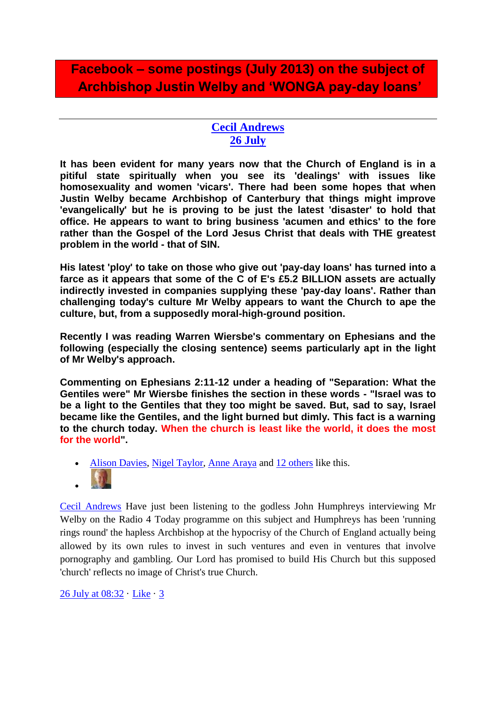## **Facebook – some postings (July 2013) on the subject of Archbishop Justin Welby and 'WONGA pay-day loans'**

## **[Cecil Andrews](https://www.facebook.com/cecil.andrews.5?hc_location=timeline) [26 July](https://www.facebook.com/cecil.andrews.5/posts/373406462762312)**

**It has been evident for many years now that the Church of England is in a pitiful state spiritually when you see its 'dealings' with issues like homosexuality and women 'vicars'. There had been some hopes that when Justin Welby became Archbishop of Canterbury that things might improve 'evangelically' but he is proving to be just the latest 'disaster' to hold that office. He appears to want to bring business 'acumen and ethics' to the fore rather than the Gospel of the Lord Jesus Christ that deals with THE greatest problem in the world - that of SIN.** 

**His latest 'ploy' to take on those who give out 'pay-day loans' has turned into a farce as it appears that some of the C of E's £5.2 BILLION assets are actually indirectly invested in companies supplying these 'pay-day loans'. Rather than challenging today's culture Mr Welby appears to want the Church to ape the culture, but, from a supposedly moral-high-ground position.** 

**Recently I was reading Warren Wiersbe's commentary on Ephesians and the following (especially the closing sentence) seems particularly apt in the light of Mr Welby's approach.**

**Commenting on Ephesians 2:11-12 under a heading of "Separation: What the Gentiles were" Mr Wiersbe finishes the section in these words - "Israel was to be a light to the Gentiles that they too might be saved. But, sad to say, Israel became like the Gentiles, and the light burned but dimly. This fact is a warning to the church today. When the church is least like the world, it does the most for the world".**

- [Alison Davies,](https://www.facebook.com/alison.a.d) [Nigel Taylor,](https://www.facebook.com/nigel.taylor.750) [Anne Araya](https://www.facebook.com/anne.araya.75) and [12 others](https://www.facebook.com/browse/likes?id=373406462762312) like this.
- $\bullet$

[Cecil Andrews](https://www.facebook.com/cecil.andrews.5) Have just been listening to the godless John Humphreys interviewing Mr Welby on the Radio 4 Today programme on this subject and Humphreys has been 'running rings round' the hapless Archbishop at the hypocrisy of the Church of England actually being allowed by its own rules to invest in such ventures and even in ventures that involve pornography and gambling. Our Lord has promised to build His Church but this supposed 'church' reflects no image of Christ's true Church.

[26 July at 08:32](https://www.facebook.com/cecil.andrews.5/posts/373406462762312?comment_id=1918135&offset=0&total_comments=3) · [Like](https://www.facebook.com/cecil.andrews.5) · [3](https://www.facebook.com/browse/likes?id=373418406094451)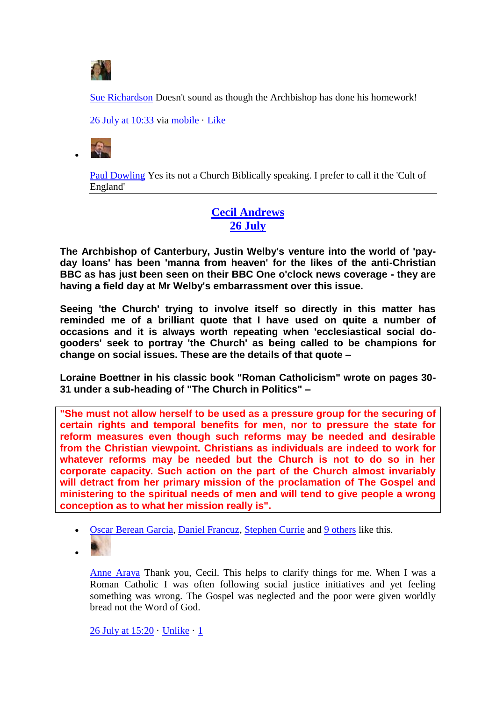

[Sue Richardson](https://www.facebook.com/sue.richardson.5099) Doesn't sound as though the Archbishop has done his homework!

[26 July at 10:33](https://www.facebook.com/cecil.andrews.5/posts/373406462762312?comment_id=1918276&offset=0&total_comments=3) via [mobile](https://www.facebook.com/mobile/) · [Like](https://www.facebook.com/cecil.andrews.5)



[Paul Dowling](https://www.facebook.com/paul.dowling.39982) Yes its not a Church Biblically speaking. I prefer to call it the 'Cult of England'

## **[Cecil Andrews](https://www.facebook.com/cecil.andrews.5?hc_location=timeline) [26 July](https://www.facebook.com/cecil.andrews.5/posts/373476129422012)**

**The Archbishop of Canterbury, Justin Welby's venture into the world of 'payday loans' has been 'manna from heaven' for the likes of the anti-Christian BBC as has just been seen on their BBC One o'clock news coverage - they are having a field day at Mr Welby's embarrassment over this issue.**

**Seeing 'the Church' trying to involve itself so directly in this matter has reminded me of a brilliant quote that I have used on quite a number of occasions and it is always worth repeating when 'ecclesiastical social dogooders' seek to portray 'the Church' as being called to be champions for change on social issues. These are the details of that quote –**

**Loraine Boettner in his classic book "Roman Catholicism" wrote on pages 30- 31 under a sub-heading of "The Church in Politics" –**

**"She must not allow herself to be used as a pressure group for the securing of certain rights and temporal benefits for men, nor to pressure the state for reform measures even though such reforms may be needed and desirable from the Christian viewpoint. Christians as individuals are indeed to work for whatever reforms may be needed but the Church is not to do so in her corporate capacity. Such action on the part of the Church almost invariably will detract from her primary mission of the proclamation of The Gospel and ministering to the spiritual needs of men and will tend to give people a wrong conception as to what her mission really is".**

- [Oscar Berean Garcia,](https://www.facebook.com/oscar.reaper) [Daniel Francuz,](https://www.facebook.com/daniel.francuz.90) [Stephen Currie](https://www.facebook.com/stephen.currie.315) and [9 others](https://www.facebook.com/browse/likes?id=373476129422012) like this.
- $\bullet$

[Anne Araya](https://www.facebook.com/anne.araya.75) Thank you, Cecil. This helps to clarify things for me. When I was a Roman Catholic I was often following social justice initiatives and yet feeling something was wrong. The Gospel was neglected and the poor were given worldly bread not the Word of God.

[26 July at 15:20](https://www.facebook.com/cecil.andrews.5/posts/373476129422012?comment_id=1918746&offset=0&total_comments=3) · [Unlike](https://www.facebook.com/cecil.andrews.5) · [1](https://www.facebook.com/browse/likes?id=373518026084489)